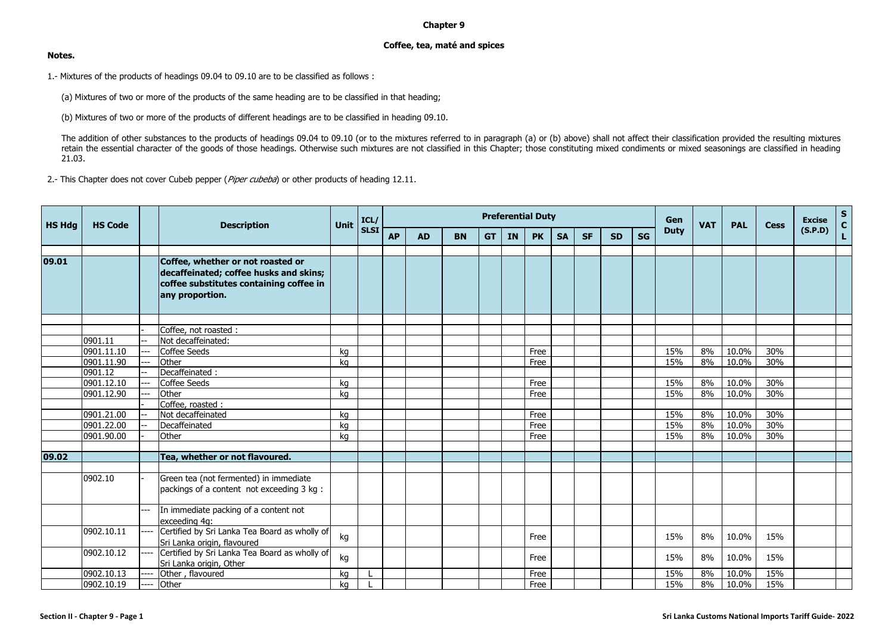## **Chapter 9**

## **Coffee, tea, maté and spices**

## **Notes.**

1.- Mixtures of the products of headings 09.04 to 09.10 are to be classified as follows :

(a) Mixtures of two or more of the products of the same heading are to be classified in that heading;

(b) Mixtures of two or more of the products of different headings are to be classified in heading 09.10.

The addition of other substances to the products of headings 09.04 to 09.10 (or to the mixtures referred to in paragraph (a) or (b) above) shall not affect their classification provided the resulting mixtures retain the essential character of the goods of those headings. Otherwise such mixtures are not classified in this Chapter; those constituting mixed condiments or mixed seasonings are classified in heading 21.03.

2.- This Chapter does not cover Cubeb pepper (Piper cubeba) or other products of heading 12.11.

| <b>HS Hdg</b> | <b>HS Code</b>        |      | <b>Description</b>                                                                                                                        | <b>Unit</b> | ICL/        |           |           |           |           |    | <b>Preferential Duty</b> |           |           |           |           | Gen         | <b>VAT</b> | <b>PAL</b> | <b>Cess</b> | <b>Excise</b> | S<br>$\overline{\mathbf{c}}$ |
|---------------|-----------------------|------|-------------------------------------------------------------------------------------------------------------------------------------------|-------------|-------------|-----------|-----------|-----------|-----------|----|--------------------------|-----------|-----------|-----------|-----------|-------------|------------|------------|-------------|---------------|------------------------------|
|               |                       |      |                                                                                                                                           |             | <b>SLSI</b> | <b>AP</b> | <b>AD</b> | <b>BN</b> | <b>GT</b> | IN | <b>PK</b>                | <b>SA</b> | <b>SF</b> | <b>SD</b> | <b>SG</b> | <b>Duty</b> |            |            |             | (S.P.D)       | Ĺ.                           |
|               |                       |      |                                                                                                                                           |             |             |           |           |           |           |    |                          |           |           |           |           |             |            |            |             |               |                              |
| 09.01         |                       |      | Coffee, whether or not roasted or<br>decaffeinated; coffee husks and skins;<br>coffee substitutes containing coffee in<br>any proportion. |             |             |           |           |           |           |    |                          |           |           |           |           |             |            |            |             |               |                              |
|               |                       |      |                                                                                                                                           |             |             |           |           |           |           |    |                          |           |           |           |           |             |            |            |             |               |                              |
|               |                       |      | Coffee, not roasted :                                                                                                                     |             |             |           |           |           |           |    |                          |           |           |           |           |             |            |            |             |               |                              |
|               | 0901.11<br>0901.11.10 |      | Not decaffeinated:                                                                                                                        |             |             |           |           |           |           |    |                          |           |           |           |           | 15%         | 8%         | 10.0%      | 30%         |               |                              |
|               |                       |      | <b>Coffee Seeds</b><br>Other                                                                                                              | kg          |             |           |           |           |           |    | Free                     |           |           |           |           | 15%         | 8%         |            |             |               |                              |
|               | 0901.11.90<br>0901.12 |      | Decaffeinated:                                                                                                                            | ka          |             |           |           |           |           |    | Free                     |           |           |           |           |             |            | 10.0%      | 30%         |               |                              |
|               | 0901.12.10            |      | <b>Coffee Seeds</b>                                                                                                                       |             |             |           |           |           |           |    | Free                     |           |           |           |           | 15%         | 8%         | 10.0%      | 30%         |               |                              |
|               | 0901.12.90            |      | Other                                                                                                                                     | kg          |             |           |           |           |           |    | Free                     |           |           |           |           | 15%         | 8%         | 10.0%      | 30%         |               |                              |
|               |                       |      | Coffee, roasted :                                                                                                                         | kg          |             |           |           |           |           |    |                          |           |           |           |           |             |            |            |             |               |                              |
|               | 0901.21.00            |      | Not decaffeinated                                                                                                                         | ka          |             |           |           |           |           |    | Free                     |           |           |           |           | 15%         | 8%         | 10.0%      | 30%         |               |                              |
|               | 0901.22.00            |      | Decaffeinated                                                                                                                             | kg          |             |           |           |           |           |    | Free                     |           |           |           |           | 15%         | 8%         | 10.0%      | 30%         |               |                              |
|               | 0901.90.00            |      | Other                                                                                                                                     | ka          |             |           |           |           |           |    | Free                     |           |           |           |           | 15%         | 8%         | 10.0%      | 30%         |               |                              |
|               |                       |      |                                                                                                                                           |             |             |           |           |           |           |    |                          |           |           |           |           |             |            |            |             |               |                              |
| 09.02         |                       |      | Tea, whether or not flavoured.                                                                                                            |             |             |           |           |           |           |    |                          |           |           |           |           |             |            |            |             |               |                              |
|               |                       |      |                                                                                                                                           |             |             |           |           |           |           |    |                          |           |           |           |           |             |            |            |             |               |                              |
|               | 0902.10               |      | Green tea (not fermented) in immediate                                                                                                    |             |             |           |           |           |           |    |                          |           |           |           |           |             |            |            |             |               |                              |
|               |                       |      | packings of a content not exceeding 3 kg :                                                                                                |             |             |           |           |           |           |    |                          |           |           |           |           |             |            |            |             |               |                              |
|               |                       | ---  | In immediate packing of a content not<br>exceeding 4g:                                                                                    |             |             |           |           |           |           |    |                          |           |           |           |           |             |            |            |             |               |                              |
|               | 0902.10.11            | ---- | Certified by Sri Lanka Tea Board as wholly of                                                                                             |             |             |           |           |           |           |    |                          |           |           |           |           |             |            |            |             |               |                              |
|               |                       |      | Sri Lanka origin, flavoured                                                                                                               | kg          |             |           |           |           |           |    | Free                     |           |           |           |           | 15%         | 8%         | 10.0%      | 15%         |               |                              |
|               | 0902.10.12            |      | Certified by Sri Lanka Tea Board as wholly of<br>Sri Lanka origin, Other                                                                  | kg          |             |           |           |           |           |    | Free                     |           |           |           |           | 15%         | 8%         | 10.0%      | 15%         |               |                              |
|               | 0902.10.13            |      | Other, flavoured                                                                                                                          | kg          |             |           |           |           |           |    | Free                     |           |           |           |           | 15%         | 8%         | 10.0%      | 15%         |               |                              |
|               | 0902.10.19            |      | Other                                                                                                                                     | kq          |             |           |           |           |           |    | Free                     |           |           |           |           | 15%         | 8%         | 10.0%      | 15%         |               |                              |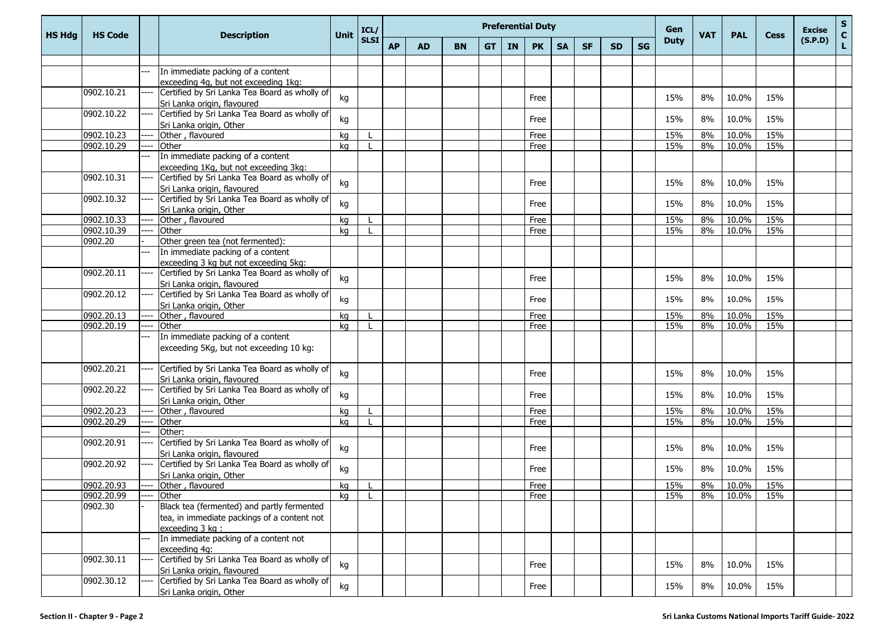| <b>HS Hdg</b> | <b>HS Code</b> | <b>Description</b>                                                           | <b>Unit</b> | ICL/ | <b>Preferential Duty</b><br>Gen<br><b>VAT</b><br><b>PAL</b><br><b>Cess</b><br><b>SLSI</b><br><b>Duty</b><br><b>SG</b><br><b>AP</b><br><b>IN</b><br><b>AD</b><br><b>BN</b><br><b>GT</b><br><b>PK</b><br><b>SA</b><br><b>SF</b><br><b>SD</b> |  |  |  |  |      |  |  |  |     | <b>Excise</b> | ${\sf s}$<br>$\mathbf{C}$ |     |         |    |
|---------------|----------------|------------------------------------------------------------------------------|-------------|------|--------------------------------------------------------------------------------------------------------------------------------------------------------------------------------------------------------------------------------------------|--|--|--|--|------|--|--|--|-----|---------------|---------------------------|-----|---------|----|
|               |                |                                                                              |             |      |                                                                                                                                                                                                                                            |  |  |  |  |      |  |  |  |     |               |                           |     | (S.P.D) | L. |
|               |                |                                                                              |             |      |                                                                                                                                                                                                                                            |  |  |  |  |      |  |  |  |     |               |                           |     |         |    |
|               |                | In immediate packing of a content                                            |             |      |                                                                                                                                                                                                                                            |  |  |  |  |      |  |  |  |     |               |                           |     |         |    |
|               |                | exceeding 4g, but not exceeding 1kg:                                         |             |      |                                                                                                                                                                                                                                            |  |  |  |  |      |  |  |  |     |               |                           |     |         |    |
|               | 0902.10.21     | Certified by Sri Lanka Tea Board as wholly of                                | kg          |      |                                                                                                                                                                                                                                            |  |  |  |  | Free |  |  |  | 15% | 8%            | 10.0%                     | 15% |         |    |
|               |                | Sri Lanka origin, flavoured                                                  |             |      |                                                                                                                                                                                                                                            |  |  |  |  |      |  |  |  |     |               |                           |     |         |    |
|               | 0902.10.22     | Certified by Sri Lanka Tea Board as wholly of                                | kg          |      |                                                                                                                                                                                                                                            |  |  |  |  | Free |  |  |  | 15% | 8%            | 10.0%                     | 15% |         |    |
|               | 0902.10.23     | Sri Lanka origin, Other<br>Other, flavoured                                  | kg          |      |                                                                                                                                                                                                                                            |  |  |  |  | Free |  |  |  | 15% | 8%            | 10.0%                     | 15% |         |    |
|               | 0902.10.29     | Other                                                                        | kg          |      |                                                                                                                                                                                                                                            |  |  |  |  | Free |  |  |  | 15% | 8%            | 10.0%                     | 15% |         |    |
|               |                | In immediate packing of a content                                            |             |      |                                                                                                                                                                                                                                            |  |  |  |  |      |  |  |  |     |               |                           |     |         |    |
|               |                | exceeding 1Kg, but not exceeding 3kg:                                        |             |      |                                                                                                                                                                                                                                            |  |  |  |  |      |  |  |  |     |               |                           |     |         |    |
|               | 0902.10.31     | Certified by Sri Lanka Tea Board as wholly of                                |             |      |                                                                                                                                                                                                                                            |  |  |  |  |      |  |  |  |     |               |                           |     |         |    |
|               |                | Sri Lanka origin, flavoured                                                  | kg          |      |                                                                                                                                                                                                                                            |  |  |  |  | Free |  |  |  | 15% | 8%            | 10.0%                     | 15% |         |    |
|               | 0902.10.32     | Certified by Sri Lanka Tea Board as wholly of                                |             |      |                                                                                                                                                                                                                                            |  |  |  |  |      |  |  |  |     |               |                           |     |         |    |
|               |                | Sri Lanka origin, Other                                                      | kg          |      |                                                                                                                                                                                                                                            |  |  |  |  | Free |  |  |  | 15% | 8%            | 10.0%                     | 15% |         |    |
|               | 0902.10.33     | Other, flavoured                                                             | kg          |      |                                                                                                                                                                                                                                            |  |  |  |  | Free |  |  |  | 15% | 8%            | 10.0%                     | 15% |         |    |
|               | 0902.10.39     | Other                                                                        | kg          |      |                                                                                                                                                                                                                                            |  |  |  |  | Free |  |  |  | 15% | 8%            | 10.0%                     | 15% |         |    |
|               | 0902.20        | Other green tea (not fermented):                                             |             |      |                                                                                                                                                                                                                                            |  |  |  |  |      |  |  |  |     |               |                           |     |         |    |
|               |                | In immediate packing of a content                                            |             |      |                                                                                                                                                                                                                                            |  |  |  |  |      |  |  |  |     |               |                           |     |         |    |
|               |                | exceeding 3 kg but not exceeding 5kg:                                        |             |      |                                                                                                                                                                                                                                            |  |  |  |  |      |  |  |  |     |               |                           |     |         |    |
|               | 0902.20.11     | Certified by Sri Lanka Tea Board as wholly of                                | kg          |      |                                                                                                                                                                                                                                            |  |  |  |  | Free |  |  |  | 15% | 8%            | 10.0%                     | 15% |         |    |
|               | 0902.20.12     | Sri Lanka origin, flavoured<br>Certified by Sri Lanka Tea Board as wholly of |             |      |                                                                                                                                                                                                                                            |  |  |  |  |      |  |  |  |     |               |                           |     |         |    |
|               |                | Sri Lanka origin, Other                                                      | kg          |      |                                                                                                                                                                                                                                            |  |  |  |  | Free |  |  |  | 15% | 8%            | 10.0%                     | 15% |         |    |
|               | 0902.20.13     | Other, flavoured                                                             | kg          |      |                                                                                                                                                                                                                                            |  |  |  |  | Free |  |  |  | 15% | 8%            | 10.0%                     | 15% |         |    |
|               | 0902.20.19     | Other                                                                        | kg          |      |                                                                                                                                                                                                                                            |  |  |  |  | Free |  |  |  | 15% | 8%            | 10.0%                     | 15% |         |    |
|               |                | In immediate packing of a content                                            |             |      |                                                                                                                                                                                                                                            |  |  |  |  |      |  |  |  |     |               |                           |     |         |    |
|               |                | exceeding 5Kg, but not exceeding 10 kg:                                      |             |      |                                                                                                                                                                                                                                            |  |  |  |  |      |  |  |  |     |               |                           |     |         |    |
|               | 0902.20.21     | Certified by Sri Lanka Tea Board as wholly of                                |             |      |                                                                                                                                                                                                                                            |  |  |  |  |      |  |  |  |     |               |                           |     |         |    |
|               |                | Sri Lanka origin, flavoured                                                  | kg          |      |                                                                                                                                                                                                                                            |  |  |  |  | Free |  |  |  | 15% | 8%            | 10.0%                     | 15% |         |    |
|               | 0902.20.22     | Certified by Sri Lanka Tea Board as wholly of                                | kg          |      |                                                                                                                                                                                                                                            |  |  |  |  | Free |  |  |  | 15% | 8%            | 10.0%                     | 15% |         |    |
|               |                | Sri Lanka origin, Other                                                      |             |      |                                                                                                                                                                                                                                            |  |  |  |  |      |  |  |  |     |               |                           |     |         |    |
|               | 0902.20.23     | Other, flavoured                                                             | kg          |      |                                                                                                                                                                                                                                            |  |  |  |  | Free |  |  |  | 15% | 8%            | 10.0%                     | 15% |         |    |
|               | 0902.20.29     | Other                                                                        | kg          |      |                                                                                                                                                                                                                                            |  |  |  |  | Free |  |  |  | 15% | 8%            | 10.0%                     | 15% |         |    |
|               |                | Other:                                                                       |             |      |                                                                                                                                                                                                                                            |  |  |  |  |      |  |  |  |     |               |                           |     |         |    |
|               | 0902.20.91     | Certified by Sri Lanka Tea Board as wholly of<br>Sri Lanka origin, flavoured | kg          |      |                                                                                                                                                                                                                                            |  |  |  |  | Free |  |  |  | 15% | 8%            | 10.0%                     | 15% |         |    |
|               | 0902.20.92     | Certified by Sri Lanka Tea Board as wholly of                                |             |      |                                                                                                                                                                                                                                            |  |  |  |  |      |  |  |  |     |               |                           |     |         |    |
|               |                | Sri Lanka origin, Other                                                      | kg          |      |                                                                                                                                                                                                                                            |  |  |  |  | Free |  |  |  | 15% | 8%            | 10.0%                     | 15% |         |    |
|               | 0902.20.93     | Other, flavoured                                                             | kg          |      |                                                                                                                                                                                                                                            |  |  |  |  | Free |  |  |  | 15% | 8%            | 10.0%                     | 15% |         |    |
|               | 0902.20.99     | <b>Other</b>                                                                 | kg          |      |                                                                                                                                                                                                                                            |  |  |  |  | Free |  |  |  | 15% |               | 8% 10.0%                  | 15% |         |    |
|               | 0902.30        | Black tea (fermented) and partly fermented                                   |             |      |                                                                                                                                                                                                                                            |  |  |  |  |      |  |  |  |     |               |                           |     |         |    |
|               |                | tea, in immediate packings of a content not                                  |             |      |                                                                                                                                                                                                                                            |  |  |  |  |      |  |  |  |     |               |                           |     |         |    |
|               |                | exceeding 3 kg :                                                             |             |      |                                                                                                                                                                                                                                            |  |  |  |  |      |  |  |  |     |               |                           |     |         |    |
|               |                | In immediate packing of a content not                                        |             |      |                                                                                                                                                                                                                                            |  |  |  |  |      |  |  |  |     |               |                           |     |         |    |
|               |                | exceeding 4g:                                                                |             |      |                                                                                                                                                                                                                                            |  |  |  |  |      |  |  |  |     |               |                           |     |         |    |
|               | 0902.30.11     | Certified by Sri Lanka Tea Board as wholly of                                | kg          |      |                                                                                                                                                                                                                                            |  |  |  |  | Free |  |  |  | 15% | 8%            | 10.0%                     | 15% |         |    |
|               |                | Sri Lanka origin, flavoured                                                  |             |      |                                                                                                                                                                                                                                            |  |  |  |  |      |  |  |  |     |               |                           |     |         |    |
|               | 0902.30.12     | Certified by Sri Lanka Tea Board as wholly of                                | kg          |      |                                                                                                                                                                                                                                            |  |  |  |  | Free |  |  |  | 15% | 8%            | 10.0%                     | 15% |         |    |
|               |                | Sri Lanka origin, Other                                                      |             |      |                                                                                                                                                                                                                                            |  |  |  |  |      |  |  |  |     |               |                           |     |         |    |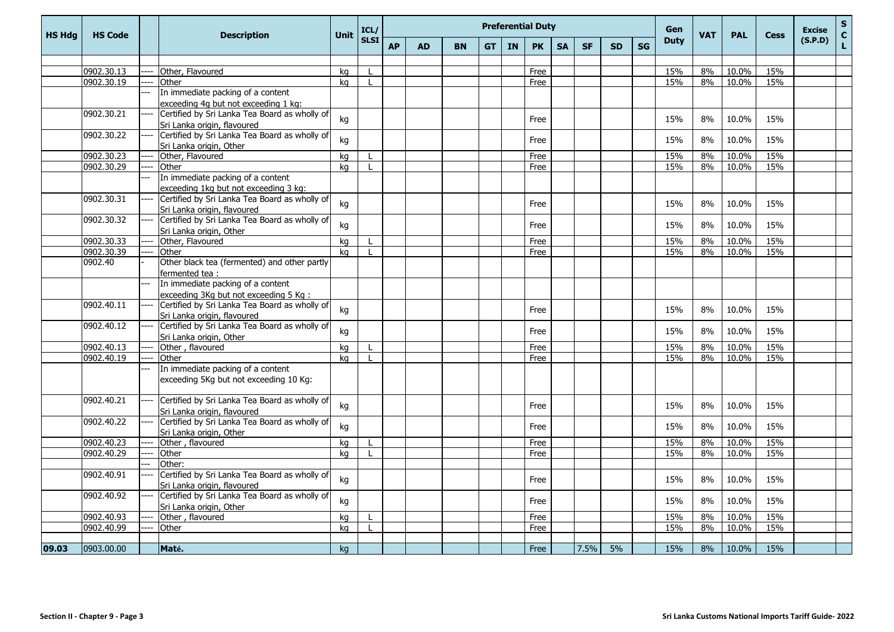| <b>HS Hdg</b> | <b>HS Code</b> | <b>Description</b>                                                                     | <b>Unit</b> | ICL/         |           |           |           |           |           | <b>Preferential Duty</b> | <b>SG</b> | Gen<br><b>Duty</b> | <b>VAT</b> | <b>PAL</b> | <b>Cess</b> | <b>Excise</b> | $\mathbf{s}$<br>$\mathbf{C}$ |     |         |    |
|---------------|----------------|----------------------------------------------------------------------------------------|-------------|--------------|-----------|-----------|-----------|-----------|-----------|--------------------------|-----------|--------------------|------------|------------|-------------|---------------|------------------------------|-----|---------|----|
|               |                |                                                                                        |             | <b>SLSI</b>  | <b>AP</b> | <b>AD</b> | <b>BN</b> | <b>GT</b> | <b>IN</b> | <b>PK</b>                | <b>SA</b> | <b>SF</b>          | <b>SD</b>  |            |             |               |                              |     | (S.P.D) | L. |
|               |                |                                                                                        |             |              |           |           |           |           |           |                          |           |                    |            |            |             |               |                              |     |         |    |
|               | 0902.30.13     | Other, Flavoured                                                                       | ka          |              |           |           |           |           |           | Free                     |           |                    |            |            | 15%         | 8%            | 10.0%                        | 15% |         |    |
|               | 0902.30.19     | Other                                                                                  | ka          |              |           |           |           |           |           | Free                     |           |                    |            |            | 15%         | 8%            | 10.0%                        | 15% |         |    |
|               |                | In immediate packing of a content                                                      |             |              |           |           |           |           |           |                          |           |                    |            |            |             |               |                              |     |         |    |
|               |                | exceeding 4g but not exceeding 1 kg:                                                   |             |              |           |           |           |           |           |                          |           |                    |            |            |             |               |                              |     |         |    |
|               | 0902.30.21     | Certified by Sri Lanka Tea Board as wholly of                                          | kg          |              |           |           |           |           |           | Free                     |           |                    |            |            | 15%         | 8%            | 10.0%                        | 15% |         |    |
|               |                | Sri Lanka origin, flavoured                                                            |             |              |           |           |           |           |           |                          |           |                    |            |            |             |               |                              |     |         |    |
|               | 0902.30.22     | Certified by Sri Lanka Tea Board as wholly of                                          | kg          |              |           |           |           |           |           | Free                     |           |                    |            |            | 15%         | 8%            | 10.0%                        | 15% |         |    |
|               |                | Sri Lanka origin, Other                                                                |             |              |           |           |           |           |           |                          |           |                    |            |            |             |               |                              |     |         |    |
|               | 0902.30.23     | Other, Flavoured                                                                       | ka          |              |           |           |           |           |           | Free                     |           |                    |            |            | 15%         | 8%            | 10.0%                        | 15% |         |    |
|               | 0902.30.29     | Other                                                                                  | kg          |              |           |           |           |           |           | Free                     |           |                    |            |            | 15%         | 8%            | 10.0%                        | 15% |         |    |
|               |                | In immediate packing of a content                                                      |             |              |           |           |           |           |           |                          |           |                    |            |            |             |               |                              |     |         |    |
|               |                | exceeding 1kg but not exceeding 3 kg:                                                  |             |              |           |           |           |           |           |                          |           |                    |            |            |             |               |                              |     |         |    |
|               | 0902.30.31     | Certified by Sri Lanka Tea Board as wholly of                                          | kg          |              |           |           |           |           |           | Free                     |           |                    |            |            | 15%         | 8%            | 10.0%                        | 15% |         |    |
|               |                | Sri Lanka origin, flavoured                                                            |             |              |           |           |           |           |           |                          |           |                    |            |            |             |               |                              |     |         |    |
|               | 0902.30.32     | Certified by Sri Lanka Tea Board as wholly of                                          | kg          |              |           |           |           |           |           | Free                     |           |                    |            |            | 15%         | 8%            | 10.0%                        | 15% |         |    |
|               |                | Sri Lanka origin, Other                                                                |             |              |           |           |           |           |           |                          |           |                    |            |            |             |               |                              |     |         |    |
|               | 0902.30.33     | Other, Flavoured                                                                       | kg          |              |           |           |           |           |           | Free                     |           |                    |            |            | 15%         | 8%            | 10.0%                        | 15% |         |    |
|               | 0902.30.39     | Other                                                                                  | kg          | $\mathbf{I}$ |           |           |           |           |           | Free                     |           |                    |            |            | 15%         | 8%            | 10.0%                        | 15% |         |    |
|               | 0902.40        | Other black tea (fermented) and other partly                                           |             |              |           |           |           |           |           |                          |           |                    |            |            |             |               |                              |     |         |    |
|               |                | fermented tea:                                                                         |             |              |           |           |           |           |           |                          |           |                    |            |            |             |               |                              |     |         |    |
|               |                | In immediate packing of a content                                                      |             |              |           |           |           |           |           |                          |           |                    |            |            |             |               |                              |     |         |    |
|               | 0902.40.11     | exceeding 3Kg but not exceeding 5 Kg:<br>Certified by Sri Lanka Tea Board as wholly of |             |              |           |           |           |           |           |                          |           |                    |            |            |             |               |                              |     |         |    |
|               |                | Sri Lanka origin, flavoured                                                            | kg          |              |           |           |           |           |           | Free                     |           |                    |            |            | 15%         | 8%            | 10.0%                        | 15% |         |    |
|               | 0902.40.12     | Certified by Sri Lanka Tea Board as wholly of                                          |             |              |           |           |           |           |           |                          |           |                    |            |            |             |               |                              |     |         |    |
|               |                | Sri Lanka origin, Other                                                                | kg          |              |           |           |           |           |           | Free                     |           |                    |            |            | 15%         | 8%            | 10.0%                        | 15% |         |    |
|               | 0902.40.13     | Other, flavoured                                                                       | kg          |              |           |           |           |           |           | Free                     |           |                    |            |            | 15%         | 8%            | 10.0%                        | 15% |         |    |
|               | 0902.40.19     | Other                                                                                  | kg          |              |           |           |           |           |           | Free                     |           |                    |            |            | 15%         | 8%            | 10.0%                        | 15% |         |    |
|               |                | In immediate packing of a content                                                      |             |              |           |           |           |           |           |                          |           |                    |            |            |             |               |                              |     |         |    |
|               |                | exceeding 5Kg but not exceeding 10 Kg:                                                 |             |              |           |           |           |           |           |                          |           |                    |            |            |             |               |                              |     |         |    |
|               |                |                                                                                        |             |              |           |           |           |           |           |                          |           |                    |            |            |             |               |                              |     |         |    |
|               | 0902.40.21     | Certified by Sri Lanka Tea Board as wholly of                                          |             |              |           |           |           |           |           |                          |           |                    |            |            |             |               |                              |     |         |    |
|               |                | Sri Lanka origin, flavoured                                                            | kg          |              |           |           |           |           |           | Free                     |           |                    |            |            | 15%         | 8%            | 10.0%                        | 15% |         |    |
|               | 0902.40.22     | Certified by Sri Lanka Tea Board as wholly of                                          |             |              |           |           |           |           |           |                          |           |                    |            |            |             |               |                              |     |         |    |
|               |                | Sri Lanka origin, Other                                                                | kg          |              |           |           |           |           |           | Free                     |           |                    |            |            | 15%         | 8%            | 10.0%                        | 15% |         |    |
|               | 0902.40.23     | Other, flavoured                                                                       | kg          |              |           |           |           |           |           | Free                     |           |                    |            |            | 15%         | 8%            | 10.0%                        | 15% |         |    |
|               | 0902.40.29     | Other                                                                                  | ka          |              |           |           |           |           |           | Free                     |           |                    |            |            | 15%         | 8%            | 10.0%                        | 15% |         |    |
|               |                | Other:                                                                                 |             |              |           |           |           |           |           |                          |           |                    |            |            |             |               |                              |     |         |    |
|               | 0902.40.91     | Certified by Sri Lanka Tea Board as wholly of                                          | kg          |              |           |           |           |           |           | Free                     |           |                    |            |            | 15%         | 8%            | 10.0%                        | 15% |         |    |
|               |                | Sri Lanka origin, flavoured                                                            |             |              |           |           |           |           |           |                          |           |                    |            |            |             |               |                              |     |         |    |
|               | 0902.40.92     | Certified by Sri Lanka Tea Board as wholly of                                          | kg          |              |           |           |           |           |           | Free                     |           |                    |            |            | 15%         | 8%            | 10.0%                        | 15% |         |    |
|               |                | Sri Lanka origin, Other                                                                |             |              |           |           |           |           |           |                          |           |                    |            |            |             |               |                              |     |         |    |
|               | 0902.40.93     | Other, flavoured                                                                       | kg          |              |           |           |           |           |           | Free                     |           |                    |            |            | 15%         | 8%            | 10.0%                        | 15% |         |    |
|               | 0902.40.99     | Other                                                                                  | kg          |              |           |           |           |           |           | Free                     |           |                    |            |            | 15%         | 8%            | 10.0%                        | 15% |         |    |
|               |                |                                                                                        |             |              |           |           |           |           |           |                          |           |                    |            |            |             |               |                              |     |         |    |
| 09.03         | 0903.00.00     | Maté.                                                                                  | kg          |              |           |           |           |           |           | Free                     |           | 7.5%               | 5%         |            | 15%         | 8%            | 10.0%                        | 15% |         |    |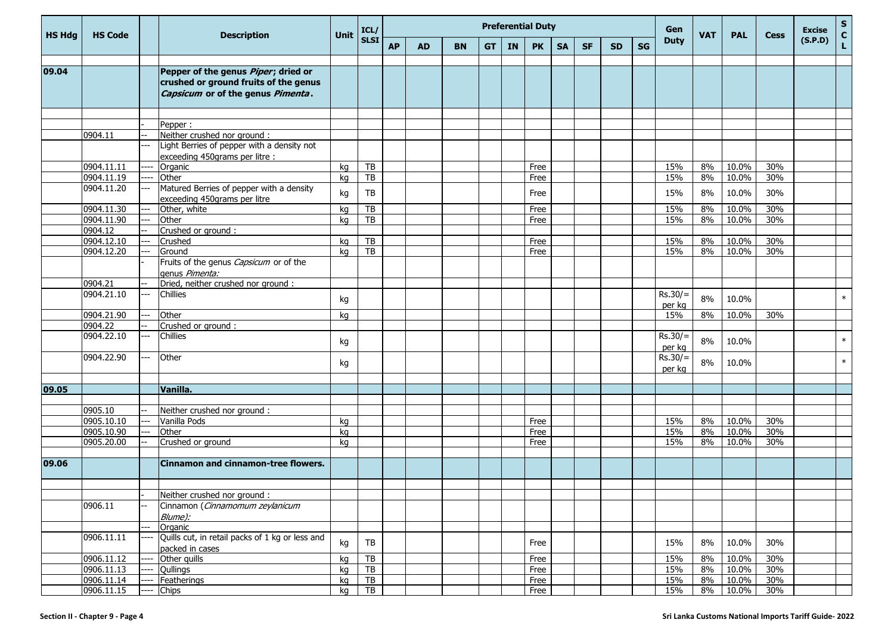| <b>HS Hdg</b> | <b>HS Code</b> |     | <b>Description</b>                                                                                                        | <b>Unit</b> | ICL/            | <b>Preferential Duty</b><br><b>SLSI</b><br><b>AP</b><br><b>BN</b><br><b>IN</b><br><b>PK</b><br><b>SA</b><br><b>SF</b><br><b>AD</b><br><b>GT</b><br><b>SD</b> |  |  |  |  |      |  |  |  |    | Gen                 | <b>VAT</b> | <b>PAL</b> | <b>Cess</b> | <b>Excise</b> | ${\sf s}$<br>$\mathbf{C}$ |
|---------------|----------------|-----|---------------------------------------------------------------------------------------------------------------------------|-------------|-----------------|--------------------------------------------------------------------------------------------------------------------------------------------------------------|--|--|--|--|------|--|--|--|----|---------------------|------------|------------|-------------|---------------|---------------------------|
|               |                |     |                                                                                                                           |             |                 |                                                                                                                                                              |  |  |  |  |      |  |  |  | SG | <b>Duty</b>         |            |            |             | (S.P.D)       | L.                        |
| 09.04         |                |     | Pepper of the genus <i>Piper</i> ; dried or<br>crushed or ground fruits of the genus<br>Capsicum or of the genus Pimenta. |             |                 |                                                                                                                                                              |  |  |  |  |      |  |  |  |    |                     |            |            |             |               |                           |
|               |                |     |                                                                                                                           |             |                 |                                                                                                                                                              |  |  |  |  |      |  |  |  |    |                     |            |            |             |               |                           |
|               |                |     | Pepper:                                                                                                                   |             |                 |                                                                                                                                                              |  |  |  |  |      |  |  |  |    |                     |            |            |             |               |                           |
|               | 0904.11        |     | Neither crushed nor ground :<br>Light Berries of pepper with a density not                                                |             |                 |                                                                                                                                                              |  |  |  |  |      |  |  |  |    |                     |            |            |             |               |                           |
|               |                |     | exceeding 450grams per litre :                                                                                            |             |                 |                                                                                                                                                              |  |  |  |  |      |  |  |  |    |                     |            |            |             |               |                           |
|               | 0904.11.11     |     | Organic                                                                                                                   | kg          | TB              |                                                                                                                                                              |  |  |  |  | Free |  |  |  |    | 15%                 | 8%         | 10.0%      | 30%         |               |                           |
|               | 0904.11.19     |     | Other                                                                                                                     | kg          | TB              |                                                                                                                                                              |  |  |  |  | Free |  |  |  |    | 15%                 | 8%         | 10.0%      | 30%         |               |                           |
|               | 0904.11.20     |     | Matured Berries of pepper with a density<br>exceeding 450grams per litre                                                  | kg          | TB              |                                                                                                                                                              |  |  |  |  | Free |  |  |  |    | 15%                 | 8%         | 10.0%      | 30%         |               |                           |
|               | 0904.11.30     |     | Other, white                                                                                                              | kg          | TB              |                                                                                                                                                              |  |  |  |  | Free |  |  |  |    | 15%                 | 8%         | 10.0%      | 30%         |               |                           |
|               | 0904.11.90     |     | Other                                                                                                                     | kg          | TB              |                                                                                                                                                              |  |  |  |  | Free |  |  |  |    | 15%                 | 8%         | 10.0%      | 30%         |               |                           |
|               | 0904.12        |     | Crushed or ground :                                                                                                       |             |                 |                                                                                                                                                              |  |  |  |  |      |  |  |  |    |                     |            |            |             |               |                           |
|               | 0904.12.10     |     | Crushed                                                                                                                   | kg          | TB              |                                                                                                                                                              |  |  |  |  | Free |  |  |  |    | 15%                 | 8%         | 10.0%      | 30%         |               |                           |
|               | 0904.12.20     |     | Ground                                                                                                                    | kg          | TB              |                                                                                                                                                              |  |  |  |  | Free |  |  |  |    | 15%                 | 8%         | 10.0%      | 30%         |               |                           |
|               |                |     | Fruits of the genus Capsicum or of the<br>genus Pimenta:                                                                  |             |                 |                                                                                                                                                              |  |  |  |  |      |  |  |  |    |                     |            |            |             |               |                           |
|               | 0904.21        |     | Dried, neither crushed nor ground :                                                                                       |             |                 |                                                                                                                                                              |  |  |  |  |      |  |  |  |    |                     |            |            |             |               |                           |
|               | 0904.21.10     |     | Chillies                                                                                                                  | kg          |                 |                                                                                                                                                              |  |  |  |  |      |  |  |  |    | $Rs.30/=$<br>per kg | 8%         | 10.0%      |             |               | $\ast$                    |
|               | 0904.21.90     |     | Other                                                                                                                     | kg          |                 |                                                                                                                                                              |  |  |  |  |      |  |  |  |    | 15%                 | 8%         | 10.0%      | 30%         |               |                           |
|               | 0904.22        |     | Crushed or ground :                                                                                                       |             |                 |                                                                                                                                                              |  |  |  |  |      |  |  |  |    |                     |            |            |             |               |                           |
|               | 0904.22.10     | --- | Chillies                                                                                                                  | kg          |                 |                                                                                                                                                              |  |  |  |  |      |  |  |  |    | $Rs.30/=$<br>per kg | 8%         | 10.0%      |             |               | $\ast$                    |
|               | 0904.22.90     |     | Other                                                                                                                     | kg          |                 |                                                                                                                                                              |  |  |  |  |      |  |  |  |    | $Rs.30/=$<br>per kg | 8%         | 10.0%      |             |               | $\ast$                    |
|               |                |     |                                                                                                                           |             |                 |                                                                                                                                                              |  |  |  |  |      |  |  |  |    |                     |            |            |             |               |                           |
| 09.05         |                |     | Vanilla.                                                                                                                  |             |                 |                                                                                                                                                              |  |  |  |  |      |  |  |  |    |                     |            |            |             |               |                           |
|               |                |     |                                                                                                                           |             |                 |                                                                                                                                                              |  |  |  |  |      |  |  |  |    |                     |            |            |             |               |                           |
|               | 0905.10        |     | Neither crushed nor ground :                                                                                              |             |                 |                                                                                                                                                              |  |  |  |  |      |  |  |  |    |                     |            |            |             |               |                           |
|               | 0905.10.10     | --- | Vanilla Pods                                                                                                              | kg          |                 |                                                                                                                                                              |  |  |  |  | Free |  |  |  |    | 15%                 | 8%         | 10.0%      | 30%         |               |                           |
|               | 0905.10.90     |     | Other                                                                                                                     | kg          |                 |                                                                                                                                                              |  |  |  |  | Free |  |  |  |    | 15%                 | 8%         | 10.0%      | 30%         |               |                           |
|               | 0905.20.00     |     | Crushed or ground                                                                                                         | kg          |                 |                                                                                                                                                              |  |  |  |  | Free |  |  |  |    | 15%                 | 8%         | 10.0%      | 30%         |               |                           |
| 09.06         |                |     | <b>Cinnamon and cinnamon-tree flowers.</b>                                                                                |             |                 |                                                                                                                                                              |  |  |  |  |      |  |  |  |    |                     |            |            |             |               |                           |
|               |                |     |                                                                                                                           |             |                 |                                                                                                                                                              |  |  |  |  |      |  |  |  |    |                     |            |            |             |               |                           |
|               |                |     | Neither crushed nor ground:                                                                                               |             |                 |                                                                                                                                                              |  |  |  |  |      |  |  |  |    |                     |            |            |             |               |                           |
|               | 0906.11        |     | Cinnamon (Cinnamomum zeylanicum                                                                                           |             |                 |                                                                                                                                                              |  |  |  |  |      |  |  |  |    |                     |            |            |             |               |                           |
|               |                |     | Blume):                                                                                                                   |             |                 |                                                                                                                                                              |  |  |  |  |      |  |  |  |    |                     |            |            |             |               |                           |
|               |                |     | Organic                                                                                                                   |             |                 |                                                                                                                                                              |  |  |  |  |      |  |  |  |    |                     |            |            |             |               |                           |
|               | 0906.11.11     |     | Quills cut, in retail packs of 1 kg or less and                                                                           |             |                 |                                                                                                                                                              |  |  |  |  |      |  |  |  |    |                     |            |            |             |               |                           |
|               |                |     | packed in cases                                                                                                           | kg          | TB              |                                                                                                                                                              |  |  |  |  | Free |  |  |  |    | 15%                 | 8%         | 10.0%      | 30%         |               |                           |
|               | 0906.11.12     |     | Other quills                                                                                                              | kg          | $\overline{TB}$ |                                                                                                                                                              |  |  |  |  | Free |  |  |  |    | 15%                 | 8%         | 10.0%      | 30%         |               |                           |
|               | 0906.11.13     |     | Qullings                                                                                                                  | kg          | $\overline{TB}$ |                                                                                                                                                              |  |  |  |  | Free |  |  |  |    | 15%                 | 8%         | 10.0%      | 30%         |               |                           |
|               | 0906.11.14     |     | Featherings                                                                                                               | kg          | TB              |                                                                                                                                                              |  |  |  |  | Free |  |  |  |    | 15%                 | 8%         | 10.0%      | 30%         |               |                           |
|               | 0906.11.15     |     | <b>Chips</b>                                                                                                              | kg          | TB              |                                                                                                                                                              |  |  |  |  | Free |  |  |  |    | 15%                 | 8%         | 10.0%      | 30%         |               |                           |
|               |                |     |                                                                                                                           |             |                 |                                                                                                                                                              |  |  |  |  |      |  |  |  |    |                     |            |            |             |               |                           |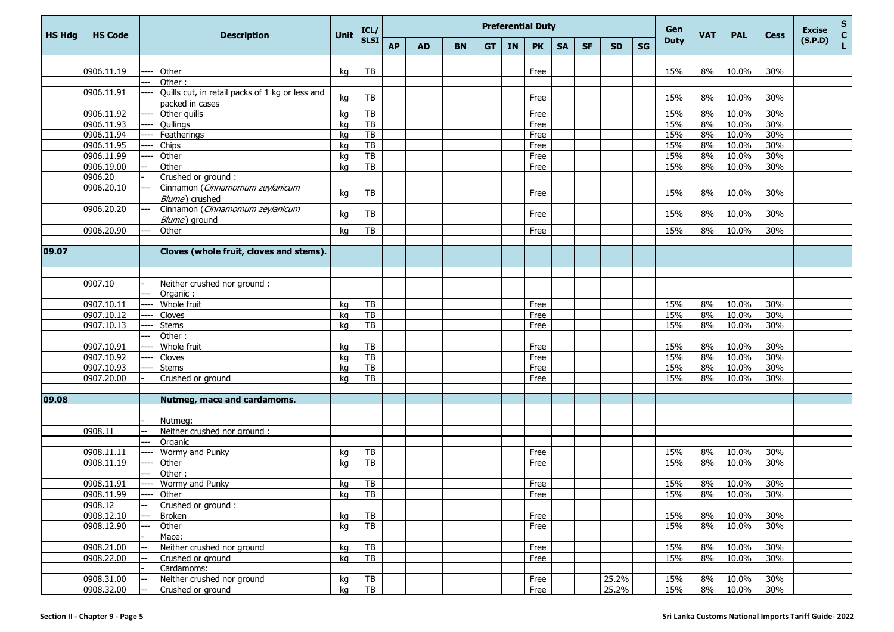| HS Hdg | <b>HS Code</b>           |      |                                                   | <b>Unit</b> | ICL/                  |           |           |           |    |    | <b>Preferential Duty</b> |           |           |           |    | Gen         | <b>VAT</b> | <b>PAL</b> | <b>Cess</b> | <b>Excise</b> | ${\sf s}$<br>$\mathbf{C}$ |
|--------|--------------------------|------|---------------------------------------------------|-------------|-----------------------|-----------|-----------|-----------|----|----|--------------------------|-----------|-----------|-----------|----|-------------|------------|------------|-------------|---------------|---------------------------|
|        |                          |      | <b>Description</b><br>Other                       |             | <b>SLSI</b>           | <b>AP</b> | <b>AD</b> | <b>BN</b> | GT | IN | <b>PK</b>                | <b>SA</b> | <b>SF</b> | <b>SD</b> | SG | <b>Duty</b> |            |            |             | (S.P.D)       | L                         |
|        |                          |      |                                                   |             |                       |           |           |           |    |    |                          |           |           |           |    |             |            |            |             |               |                           |
|        | 0906.11.19               |      |                                                   | kg          | TB                    |           |           |           |    |    | Free                     |           |           |           |    | 15%         | 8%         | 10.0%      | 30%         |               |                           |
|        |                          |      | Other:                                            |             |                       |           |           |           |    |    |                          |           |           |           |    |             |            |            |             |               |                           |
|        | 0906.11.91               |      | Quills cut, in retail packs of 1 kg or less and   | kg          | TB                    |           |           |           |    |    | Free                     |           |           |           |    | 15%         | 8%         | 10.0%      | 30%         |               |                           |
|        |                          |      | packed in cases                                   |             |                       |           |           |           |    |    |                          |           |           |           |    |             | 8%         | 10.0%      | 30%         |               |                           |
|        | 0906.11.92<br>0906.11.93 |      | Other quills                                      | kg          | TB                    |           |           |           |    |    | Free                     |           |           |           |    | 15%         |            | 10.0%      | 30%         |               |                           |
|        | 0906.11.94               |      | Qullings<br>Featherings                           | kg          | TB<br>$\overline{TB}$ |           |           |           |    |    | Free<br>Free             |           |           |           |    | 15%<br>15%  | 8%<br>8%   | 10.0%      | 30%         |               |                           |
|        | 0906.11.95               |      |                                                   | kg          |                       |           |           |           |    |    |                          |           |           |           |    |             |            | 10.0%      | 30%         |               |                           |
|        | 0906.11.99               |      | <b>Chips</b><br>Other                             | kg          | TB<br>TB              |           |           |           |    |    | Free<br>Free             |           |           |           |    | 15%<br>15%  | 8%<br>8%   | 10.0%      | 30%         |               |                           |
|        | 0906.19.00               |      | Other                                             | kg          | <b>TB</b>             |           |           |           |    |    | Free                     |           |           |           |    | 15%         |            | 10.0%      | 30%         |               |                           |
|        |                          |      |                                                   | kg          |                       |           |           |           |    |    |                          |           |           |           |    |             | 8%         |            |             |               |                           |
|        | 0906.20                  |      | Crushed or ground :                               |             |                       |           |           |           |    |    |                          |           |           |           |    |             |            |            |             |               |                           |
|        | 0906.20.10               |      | Cinnamon (Cinnamomum zeylanicum<br>Blume) crushed | kg          | TB                    |           |           |           |    |    | Free                     |           |           |           |    | 15%         | 8%         | 10.0%      | 30%         |               |                           |
|        | 0906.20.20               |      | Cinnamon (Cinnamomum zeylanicum                   | kg          | TB                    |           |           |           |    |    | Free                     |           |           |           |    | 15%         | 8%         | 10.0%      | 30%         |               |                           |
|        | 0906.20.90               |      | Blume) ground<br>Other                            | kg          | <b>TB</b>             |           |           |           |    |    | Free                     |           |           |           |    | 15%         | 8%         | 10.0%      | 30%         |               |                           |
|        |                          |      |                                                   |             |                       |           |           |           |    |    |                          |           |           |           |    |             |            |            |             |               |                           |
| 09.07  |                          |      | Cloves (whole fruit, cloves and stems).           |             |                       |           |           |           |    |    |                          |           |           |           |    |             |            |            |             |               |                           |
|        |                          |      |                                                   |             |                       |           |           |           |    |    |                          |           |           |           |    |             |            |            |             |               |                           |
|        |                          |      |                                                   |             |                       |           |           |           |    |    |                          |           |           |           |    |             |            |            |             |               |                           |
|        | 0907.10                  |      | Neither crushed nor ground :                      |             |                       |           |           |           |    |    |                          |           |           |           |    |             |            |            |             |               |                           |
|        |                          |      | Organic:                                          |             |                       |           |           |           |    |    |                          |           |           |           |    |             |            |            |             |               |                           |
|        | 0907.10.11               |      | Whole fruit                                       | kg          | <b>TB</b>             |           |           |           |    |    | Free                     |           |           |           |    | 15%         | 8%         | 10.0%      | 30%         |               |                           |
|        | 0907.10.12               |      | Cloves                                            | kg          | TB                    |           |           |           |    |    | Free                     |           |           |           |    | 15%         | 8%         | 10.0%      | 30%         |               |                           |
|        | 0907.10.13               |      | <b>Stems</b>                                      | kg          | <b>TB</b>             |           |           |           |    |    | Free                     |           |           |           |    | 15%         | 8%         | 10.0%      | 30%         |               |                           |
|        |                          |      | Other:                                            |             |                       |           |           |           |    |    |                          |           |           |           |    |             |            |            |             |               |                           |
|        | 0907.10.91               |      | Whole fruit                                       | kq          | TB                    |           |           |           |    |    | Free                     |           |           |           |    | 15%         | 8%         | 10.0%      | 30%         |               |                           |
|        | 0907.10.92               |      | Cloves                                            | kq          | TB                    |           |           |           |    |    | Free                     |           |           |           |    | 15%         | 8%         | 10.0%      | 30%         |               |                           |
|        | 0907.10.93               |      | <b>Stems</b>                                      | kg          | TB                    |           |           |           |    |    | Free                     |           |           |           |    | 15%         | 8%         | 10.0%      | 30%         |               |                           |
|        | 0907.20.00               |      | Crushed or ground                                 | kg          | <b>TB</b>             |           |           |           |    |    | Free                     |           |           |           |    | 15%         | 8%         | 10.0%      | 30%         |               |                           |
|        |                          |      |                                                   |             |                       |           |           |           |    |    |                          |           |           |           |    |             |            |            |             |               |                           |
| 09.08  |                          |      | Nutmeg, mace and cardamoms.                       |             |                       |           |           |           |    |    |                          |           |           |           |    |             |            |            |             |               |                           |
|        |                          |      |                                                   |             |                       |           |           |           |    |    |                          |           |           |           |    |             |            |            |             |               |                           |
|        |                          |      | Nutmeg:                                           |             |                       |           |           |           |    |    |                          |           |           |           |    |             |            |            |             |               |                           |
|        | 0908.11                  |      | Neither crushed nor ground :                      |             |                       |           |           |           |    |    |                          |           |           |           |    |             |            |            |             |               |                           |
|        |                          |      | Organic                                           |             |                       |           |           |           |    |    |                          |           |           |           |    |             |            |            |             |               |                           |
|        | 0908.11.11               |      | Wormy and Punky                                   | kg          | TB                    |           |           |           |    |    | Free                     |           |           |           |    | 15%         | 8%         | 10.0%      | 30%         |               |                           |
|        | 0908.11.19               |      | Other                                             | kg          | TB                    |           |           |           |    |    | Free                     |           |           |           |    | 15%         | 8%         | 10.0%      | 30%         |               |                           |
|        |                          |      | Other:                                            |             |                       |           |           |           |    |    |                          |           |           |           |    |             |            |            |             |               |                           |
|        | 0908.11.91               | ---- | Wormy and Punky                                   | kg          | TB                    |           |           |           |    |    | Free                     |           |           |           |    | 15%         | 8%         | 10.0%      | 30%         |               |                           |
|        | 0908.11.99               | ---- | <b>Other</b>                                      | kg          | TB.                   |           |           |           |    |    | Free                     |           |           |           |    | 15%         | 8%         | $10.0\%$   | 30%         |               |                           |
|        | 0908.12                  |      | Crushed or ground:                                |             |                       |           |           |           |    |    |                          |           |           |           |    |             |            |            |             |               |                           |
|        | 0908.12.10               |      | <b>Broken</b>                                     | kg          | TB                    |           |           |           |    |    | Free                     |           |           |           |    | 15%         | 8%         | 10.0%      | 30%         |               |                           |
|        | 0908.12.90               |      | Other                                             | kg          | TB                    |           |           |           |    |    | Free                     |           |           |           |    | 15%         | 8%         | 10.0%      | 30%         |               |                           |
|        |                          |      | Mace:                                             |             |                       |           |           |           |    |    |                          |           |           |           |    |             |            |            |             |               |                           |
|        | 0908.21.00               |      | Neither crushed nor ground                        | kg          | TB                    |           |           |           |    |    | Free                     |           |           |           |    | 15%         | 8%         | 10.0%      | 30%         |               |                           |
|        | 0908.22.00               |      | Crushed or ground                                 | kg          | TB                    |           |           |           |    |    | Free                     |           |           |           |    | 15%         | 8%         | 10.0%      | 30%         |               |                           |
|        |                          |      | Cardamoms:                                        |             |                       |           |           |           |    |    |                          |           |           |           |    |             |            |            |             |               |                           |
|        | 0908.31.00               |      | Neither crushed nor ground                        | kg          | TB                    |           |           |           |    |    | Free                     |           |           | 25.2%     |    | 15%         | 8%         | 10.0%      | 30%         |               |                           |
|        | 0908.32.00               |      | Crushed or ground                                 | kg          | TB                    |           |           |           |    |    | Free                     |           |           | 25.2%     |    | 15%         | 8%         | 10.0%      | 30%         |               |                           |